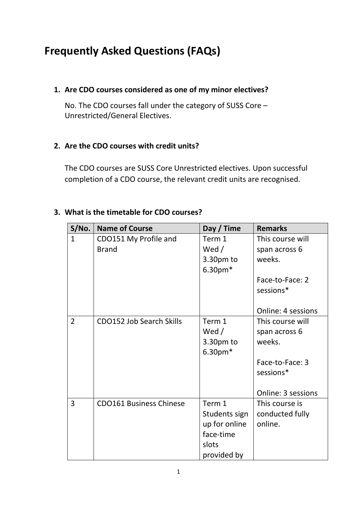# **Frequently Asked Questions (FAQs)**

### **1. Are CDO courses considered as one of my minor electives?**

No. The CDO courses fall under the category of SUSS Core – Unrestricted/General Electives.

## **2. Are the CDO courses with credit units?**

The CDO courses are SUSS Core Unrestricted electives. Upon successful completion of a CDO course, the relevant credit units are recognised.

## **3. What is the timetable for CDO courses?**

| S/No.          | <b>Name of Course</b>           | Day / Time    | <b>Remarks</b>     |
|----------------|---------------------------------|---------------|--------------------|
| $\mathbf{1}$   | CDO151 My Profile and           | Term 1        | This course will   |
|                | <b>Brand</b>                    | Wed /         | span across 6      |
|                |                                 | 3.30pm to     | weeks.             |
|                |                                 | $6.30pm*$     |                    |
|                |                                 |               | Face-to-Face: 2    |
|                |                                 |               | sessions*          |
|                |                                 |               |                    |
|                |                                 |               | Online: 4 sessions |
| $\overline{2}$ | <b>CDO152 Job Search Skills</b> | Term 1        | This course will   |
|                |                                 | Wed $/$       | span across 6      |
|                |                                 | 3.30pm to     | weeks.             |
|                |                                 | $6.30pm*$     |                    |
|                |                                 |               | Face-to-Face: 3    |
|                |                                 |               | sessions*          |
|                |                                 |               |                    |
|                |                                 |               | Online: 3 sessions |
| $\overline{3}$ | <b>CDO161 Business Chinese</b>  | Term 1        | This course is     |
|                |                                 | Students sign | conducted fully    |
|                |                                 | up for online | online.            |
|                |                                 | face-time     |                    |
|                |                                 | slots         |                    |
|                |                                 | provided by   |                    |